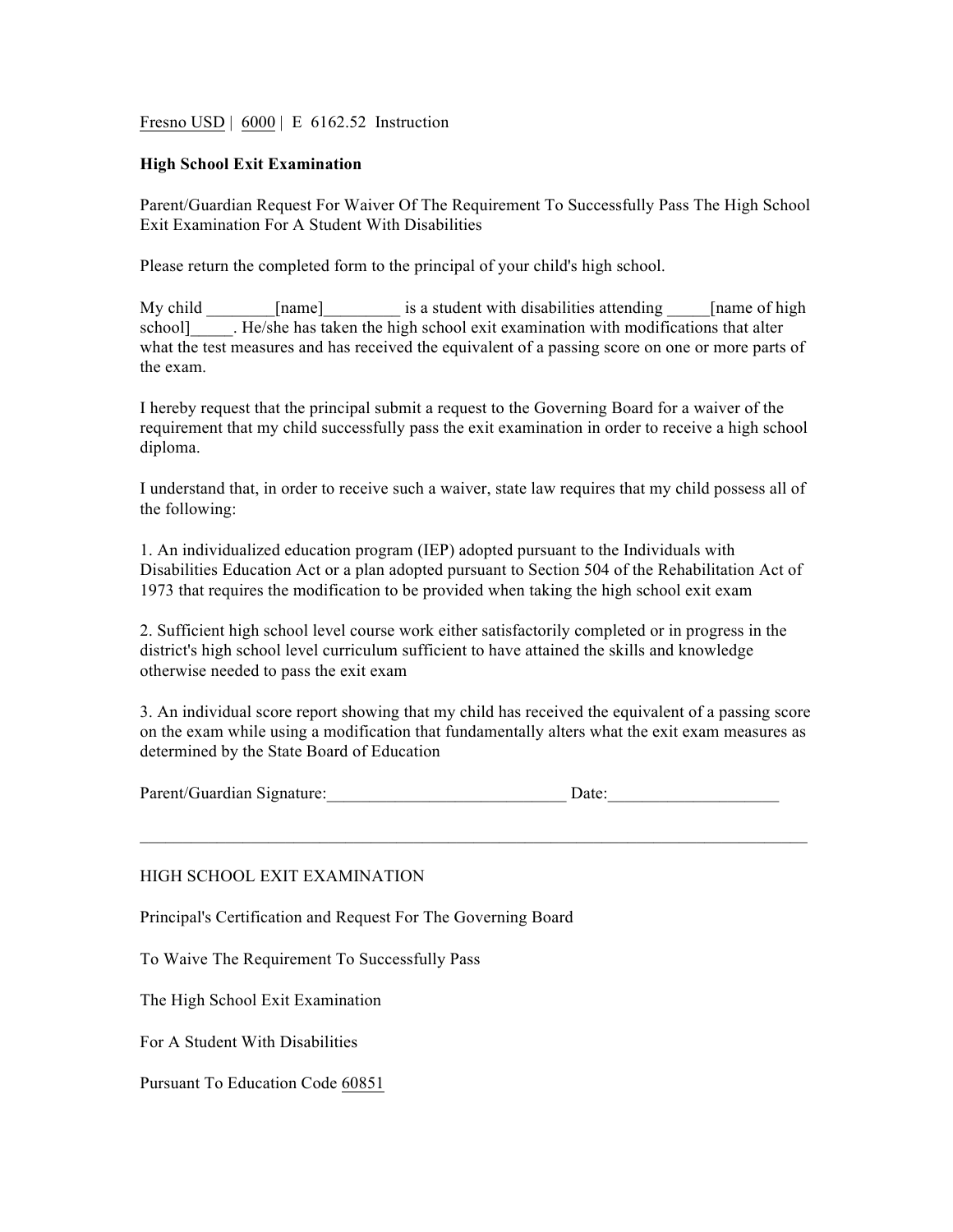Fresno USD | 6000 | E 6162.52 Instruction

## **High School Exit Examination**

Parent/Guardian Request For Waiver Of The Requirement To Successfully Pass The High School Exit Examination For A Student With Disabilities

Please return the completed form to the principal of your child's high school.

My child [name] is a student with disabilities attending [name of high school] Fig. He/she has taken the high school exit examination with modifications that alter what the test measures and has received the equivalent of a passing score on one or more parts of the exam.

I hereby request that the principal submit a request to the Governing Board for a waiver of the requirement that my child successfully pass the exit examination in order to receive a high school diploma.

I understand that, in order to receive such a waiver, state law requires that my child possess all of the following:

1. An individualized education program (IEP) adopted pursuant to the Individuals with Disabilities Education Act or a plan adopted pursuant to Section 504 of the Rehabilitation Act of 1973 that requires the modification to be provided when taking the high school exit exam

2. Sufficient high school level course work either satisfactorily completed or in progress in the district's high school level curriculum sufficient to have attained the skills and knowledge otherwise needed to pass the exit exam

3. An individual score report showing that my child has received the equivalent of a passing score on the exam while using a modification that fundamentally alters what the exit exam measures as determined by the State Board of Education

| Parent/Guardian Signature: |  |
|----------------------------|--|
|----------------------------|--|

 $\mathcal{L}_\text{max} = \mathcal{L}_\text{max} = \mathcal{L}_\text{max} = \mathcal{L}_\text{max} = \mathcal{L}_\text{max} = \mathcal{L}_\text{max} = \mathcal{L}_\text{max} = \mathcal{L}_\text{max} = \mathcal{L}_\text{max} = \mathcal{L}_\text{max} = \mathcal{L}_\text{max} = \mathcal{L}_\text{max} = \mathcal{L}_\text{max} = \mathcal{L}_\text{max} = \mathcal{L}_\text{max} = \mathcal{L}_\text{max} = \mathcal{L}_\text{max} = \mathcal{L}_\text{max} = \mathcal{$ 

## HIGH SCHOOL EXIT EXAMINATION

Principal's Certification and Request For The Governing Board

To Waive The Requirement To Successfully Pass

The High School Exit Examination

For A Student With Disabilities

Pursuant To Education Code 60851